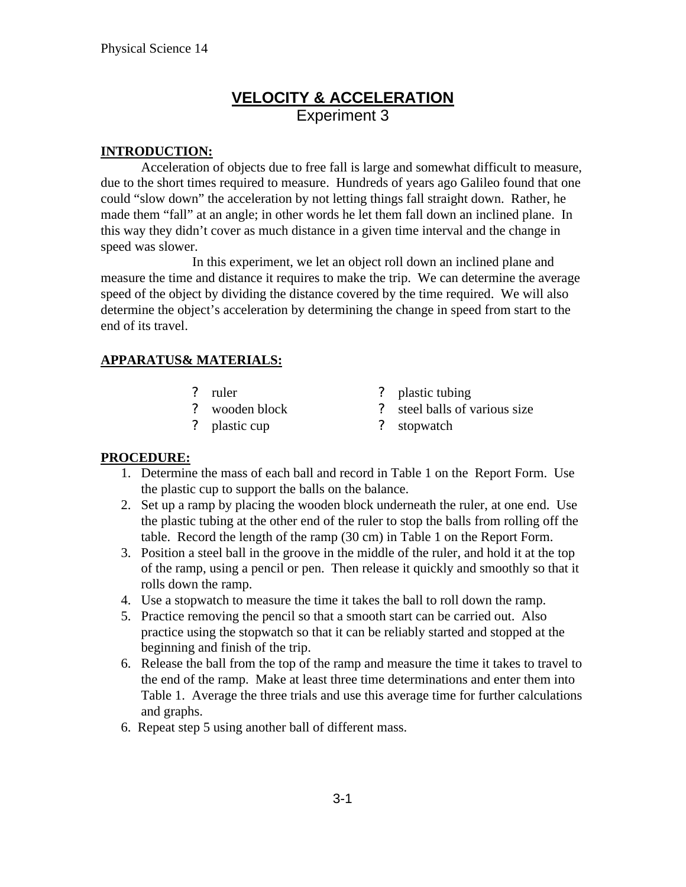# **VELOCITY & ACCELERATION** Experiment 3

## **INTRODUCTION:**

Acceleration of objects due to free fall is large and somewhat difficult to measure, due to the short times required to measure. Hundreds of years ago Galileo found that one could "slow down" the acceleration by not letting things fall straight down. Rather, he made them "fall" at an angle; in other words he let them fall down an inclined plane. In this way they didn't cover as much distance in a given time interval and the change in speed was slower.

In this experiment, we let an object roll down an inclined plane and measure the time and distance it requires to make the trip. We can determine the average speed of the object by dividing the distance covered by the time required. We will also determine the object's acceleration by determining the change in speed from start to the end of its travel.

## **APPARATUS& MATERIALS:**

- 
- ? ruler ? plastic tubing
- ? wooden block ? steel balls of various size
- 
- ? plastic cup ? stopwatch

## **PROCEDURE:**

- 1. Determine the mass of each ball and record in Table 1 on the Report Form. Use the plastic cup to support the balls on the balance.
- 2. Set up a ramp by placing the wooden block underneath the ruler, at one end. Use the plastic tubing at the other end of the ruler to stop the balls from rolling off the table. Record the length of the ramp (30 cm) in Table 1 on the Report Form.
- 3. Position a steel ball in the groove in the middle of the ruler, and hold it at the top of the ramp, using a pencil or pen. Then release it quickly and smoothly so that it rolls down the ramp.
- 4. Use a stopwatch to measure the time it takes the ball to roll down the ramp.
- 5. Practice removing the pencil so that a smooth start can be carried out. Also practice using the stopwatch so that it can be reliably started and stopped at the beginning and finish of the trip.
- 6. Release the ball from the top of the ramp and measure the time it takes to travel to the end of the ramp. Make at least three time determinations and enter them into Table 1. Average the three trials and use this average time for further calculations and graphs.
- 6. Repeat step 5 using another ball of different mass.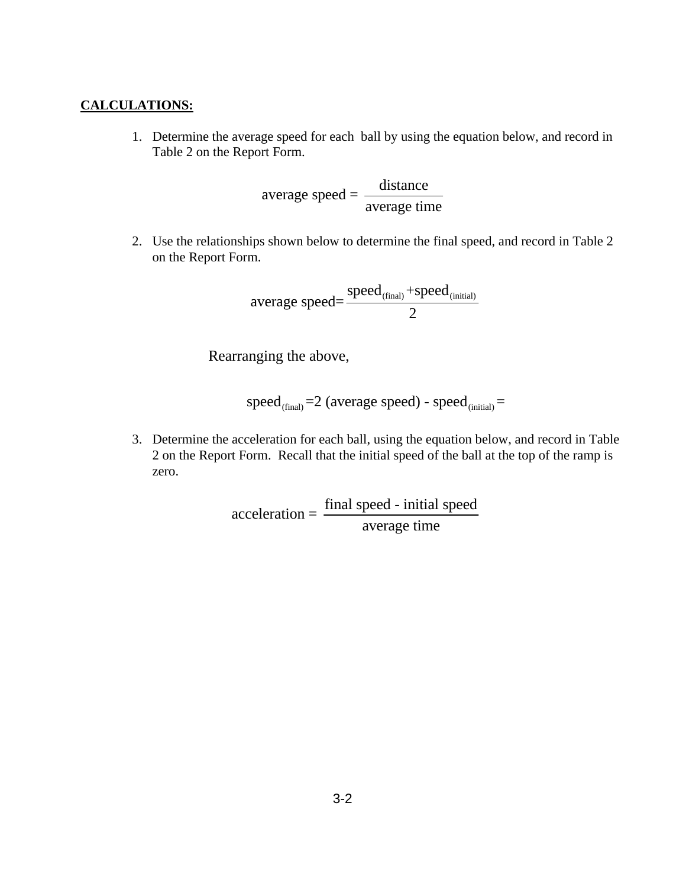#### **CALCULATIONS:**

1. Determine the average speed for each ball by using the equation below, and record in Table 2 on the Report Form.

$$
average speed = \frac{distance}{average time}
$$

2. Use the relationships shown below to determine the final speed, and record in Table 2 on the Report Form.

$$
average speed = \frac{speed_{(final)} + speed_{(initial)}}{2}
$$

Rearranging the above,

$$
speed_{(final)}=2 (average speed) - speed_{(initial)}=
$$

3. Determine the acceleration for each ball, using the equation below, and record in Table 2 on the Report Form. Recall that the initial speed of the ball at the top of the ramp is zero.

> $\text{acceleration} = \frac{\text{final speed} - \text{initial speed}}{\text{time}}$ average time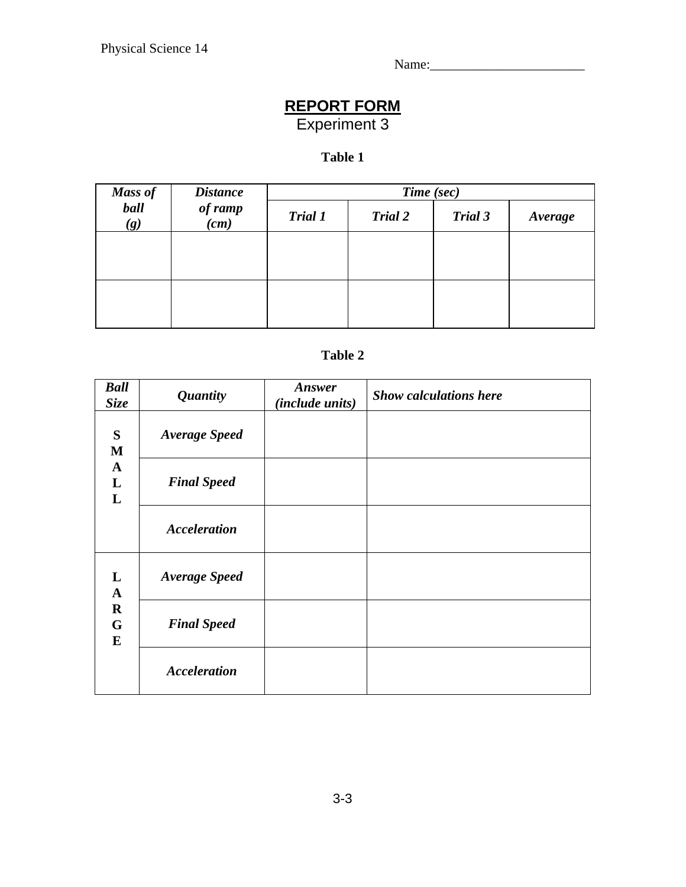Name:\_\_\_\_\_\_\_\_\_\_\_\_\_\_\_\_\_\_\_\_\_\_\_

# **REPORT FORM**

Experiment 3

# **Table 1**

| Mass of<br>ball<br>(g) | <b>Distance</b><br>of ramp<br>(cm) | Time (sec)     |                |         |         |  |
|------------------------|------------------------------------|----------------|----------------|---------|---------|--|
|                        |                                    | <b>Trial 1</b> | <b>Trial 2</b> | Trial 3 | Average |  |
|                        |                                    |                |                |         |         |  |
|                        |                                    |                |                |         |         |  |
|                        |                                    |                |                |         |         |  |
|                        |                                    |                |                |         |         |  |

# **Table 2**

| <b>Ball</b><br><b>Size</b>                        | <b>Quantity</b>      | Answer<br><i>(include units)</i> | <b>Show calculations here</b> |
|---------------------------------------------------|----------------------|----------------------------------|-------------------------------|
| S<br>M<br>$\mathbf{A}$<br>L<br>$\mathbf{L}$       | <b>Average Speed</b> |                                  |                               |
|                                                   | <b>Final Speed</b>   |                                  |                               |
|                                                   | <b>Acceleration</b>  |                                  |                               |
| L<br>$\mathbf{A}$<br>$\mathbf R$<br>G<br>$\bf{E}$ | <b>Average Speed</b> |                                  |                               |
|                                                   | <b>Final Speed</b>   |                                  |                               |
|                                                   | <b>Acceleration</b>  |                                  |                               |